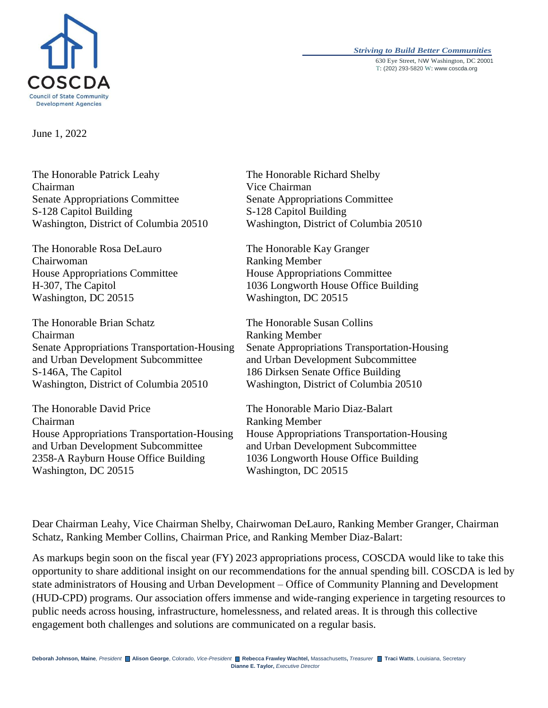

#### *Striving to Build Better Communities* 630 Eye Street, NW Washington, DC 20001 T: (202) 293-5820 W: www.coscda.org

June 1, 2022

The Honorable Patrick Leahy Chairman Senate Appropriations Committee S-128 Capitol Building Washington, District of Columbia 20510

The Honorable Rosa DeLauro Chairwoman House Appropriations Committee H-307, The Capitol Washington, DC 20515

The Honorable Brian Schatz Chairman Senate Appropriations Transportation-Housing and Urban Development Subcommittee S-146A, The Capitol Washington, District of Columbia 20510

The Honorable David Price Chairman House Appropriations Transportation-Housing and Urban Development Subcommittee 2358-A Rayburn House Office Building Washington, DC 20515

The Honorable Richard Shelby Vice Chairman Senate Appropriations Committee S-128 Capitol Building Washington, District of Columbia 20510

The Honorable Kay Granger Ranking Member House Appropriations Committee 1036 Longworth House Office Building Washington, DC 20515

The Honorable Susan Collins Ranking Member Senate Appropriations Transportation-Housing and Urban Development Subcommittee 186 Dirksen Senate Office Building Washington, District of Columbia 20510

The Honorable Mario Diaz-Balart Ranking Member House Appropriations Transportation-Housing and Urban Development Subcommittee 1036 Longworth House Office Building Washington, DC 20515

Dear Chairman Leahy, Vice Chairman Shelby, Chairwoman DeLauro, Ranking Member Granger, Chairman Schatz, Ranking Member Collins, Chairman Price, and Ranking Member Diaz-Balart:

As markups begin soon on the fiscal year (FY) 2023 appropriations process, COSCDA would like to take this opportunity to share additional insight on our recommendations for the annual spending bill. COSCDA is led by state administrators of Housing and Urban Development – Office of Community Planning and Development (HUD-CPD) programs. Our association offers immense and wide-ranging experience in targeting resources to public needs across housing, infrastructure, homelessness, and related areas. It is through this collective engagement both challenges and solutions are communicated on a regular basis.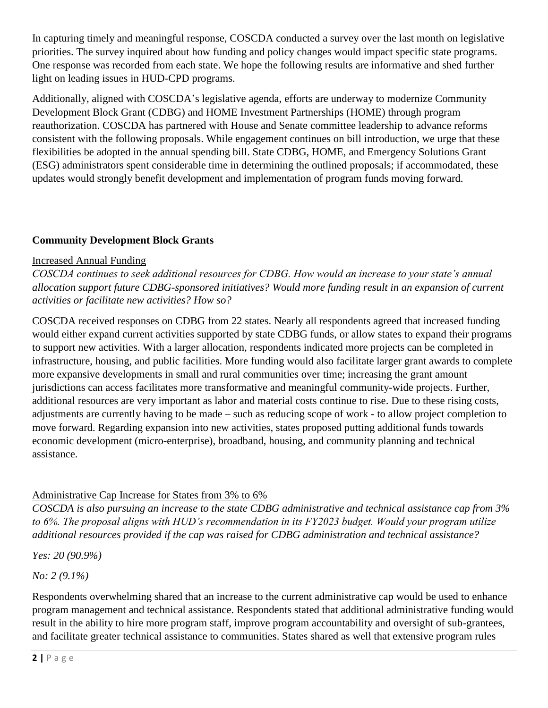In capturing timely and meaningful response, COSCDA conducted a survey over the last month on legislative priorities. The survey inquired about how funding and policy changes would impact specific state programs. One response was recorded from each state. We hope the following results are informative and shed further light on leading issues in HUD-CPD programs.

Additionally, aligned with COSCDA's legislative agenda, efforts are underway to modernize Community Development Block Grant (CDBG) and HOME Investment Partnerships (HOME) through program reauthorization. COSCDA has partnered with House and Senate committee leadership to advance reforms consistent with the following proposals. While engagement continues on bill introduction, we urge that these flexibilities be adopted in the annual spending bill. State CDBG, HOME, and Emergency Solutions Grant (ESG) administrators spent considerable time in determining the outlined proposals; if accommodated, these updates would strongly benefit development and implementation of program funds moving forward.

## **Community Development Block Grants**

#### Increased Annual Funding

*COSCDA continues to seek additional resources for CDBG. How would an increase to your state's annual allocation support future CDBG-sponsored initiatives? Would more funding result in an expansion of current activities or facilitate new activities? How so?*

COSCDA received responses on CDBG from 22 states. Nearly all respondents agreed that increased funding would either expand current activities supported by state CDBG funds, or allow states to expand their programs to support new activities. With a larger allocation, respondents indicated more projects can be completed in infrastructure, housing, and public facilities. More funding would also facilitate larger grant awards to complete more expansive developments in small and rural communities over time; increasing the grant amount jurisdictions can access facilitates more transformative and meaningful community-wide projects. Further, additional resources are very important as labor and material costs continue to rise. Due to these rising costs, adjustments are currently having to be made – such as reducing scope of work - to allow project completion to move forward. Regarding expansion into new activities, states proposed putting additional funds towards economic development (micro-enterprise), broadband, housing, and community planning and technical assistance.

## Administrative Cap Increase for States from 3% to 6%

*COSCDA is also pursuing an increase to the state CDBG administrative and technical assistance cap from 3% to 6%. The proposal aligns with HUD's recommendation in its FY2023 budget. Would your program utilize additional resources provided if the cap was raised for CDBG administration and technical assistance?*

*Yes: 20 (90.9%)*

*No: 2 (9.1%)*

Respondents overwhelming shared that an increase to the current administrative cap would be used to enhance program management and technical assistance. Respondents stated that additional administrative funding would result in the ability to hire more program staff, improve program accountability and oversight of sub-grantees, and facilitate greater technical assistance to communities. States shared as well that extensive program rules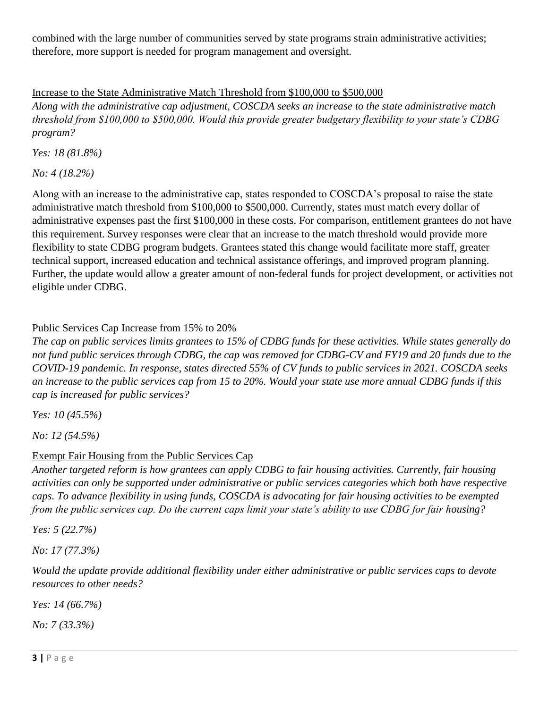combined with the large number of communities served by state programs strain administrative activities; therefore, more support is needed for program management and oversight.

## Increase to the State Administrative Match Threshold from \$100,000 to \$500,000

*Along with the administrative cap adjustment, COSCDA seeks an increase to the state administrative match threshold from \$100,000 to \$500,000. Would this provide greater budgetary flexibility to your state's CDBG program?*

*Yes: 18 (81.8%)*

*No: 4 (18.2%)*

Along with an increase to the administrative cap, states responded to COSCDA's proposal to raise the state administrative match threshold from \$100,000 to \$500,000. Currently, states must match every dollar of administrative expenses past the first \$100,000 in these costs. For comparison, entitlement grantees do not have this requirement. Survey responses were clear that an increase to the match threshold would provide more flexibility to state CDBG program budgets. Grantees stated this change would facilitate more staff, greater technical support, increased education and technical assistance offerings, and improved program planning. Further, the update would allow a greater amount of non-federal funds for project development, or activities not eligible under CDBG.

### Public Services Cap Increase from 15% to 20%

*The cap on public services limits grantees to 15% of CDBG funds for these activities. While states generally do*  not fund public services through CDBG, the cap was removed for CDBG-CV and FY19 and 20 funds due to the *COVID-19 pandemic. In response, states directed 55% of CV funds to public services in 2021. COSCDA seeks an increase to the public services cap from 15 to 20%. Would your state use more annual CDBG funds if this cap is increased for public services?*

*Yes: 10 (45.5%)*

*No: 12 (54.5%)*

### Exempt Fair Housing from the Public Services Cap

*Another targeted reform is how grantees can apply CDBG to fair housing activities. Currently, fair housing activities can only be supported under administrative or public services categories which both have respective caps. To advance flexibility in using funds, COSCDA is advocating for fair housing activities to be exempted from the public services cap. Do the current caps limit your state's ability to use CDBG for fair housing?*

*Yes: 5 (22.7%)*

*No: 17 (77.3%)*

*Would the update provide additional flexibility under either administrative or public services caps to devote resources to other needs?*

*Yes: 14 (66.7%)*

*No: 7 (33.3%)*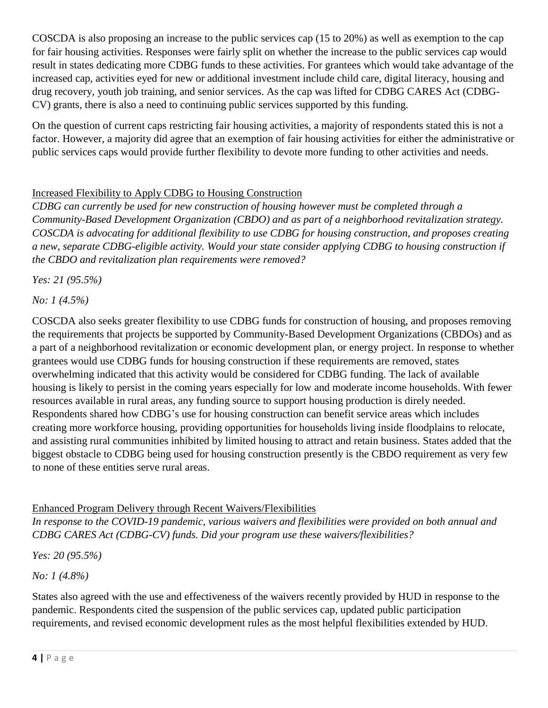COSCDA is also proposing an increase to the public services cap (15 to 20%) as well as exemption to the cap for fair housing activities. Responses were fairly split on whether the increase to the public services cap would result in states dedicating more CDBG funds to these activities. For grantees which would take advantage of the increased cap, activities eyed for new or additional investment include child care, digital literacy, housing and drug recovery, youth job training, and senior services. As the cap was lifted for CDBG CARES Act (CDBG-CV) grants, there is also a need to continuing public services supported by this funding.

On the question of current caps restricting fair housing activities, a majority of respondents stated this is not a factor. However, a majority did agree that an exemption of fair housing activities for either the administrative or public services caps would provide further flexibility to devote more funding to other activities and needs.

## Increased Flexibility to Apply CDBG to Housing Construction

*CDBG can currently be used for new construction of housing however must be completed through a Community-Based Development Organization (CBDO) and as part of a neighborhood revitalization strategy. COSCDA is advocating for additional flexibility to use CDBG for housing construction, and proposes creating a new, separate CDBG-eligible activity. Would your state consider applying CDBG to housing construction if the CBDO and revitalization plan requirements were removed?*

*Yes: 21 (95.5%)*

*No: 1 (4.5%)*

COSCDA also seeks greater flexibility to use CDBG funds for construction of housing, and proposes removing the requirements that projects be supported by Community-Based Development Organizations (CBDOs) and as a part of a neighborhood revitalization or economic development plan, or energy project. In response to whether grantees would use CDBG funds for housing construction if these requirements are removed, states overwhelming indicated that this activity would be considered for CDBG funding. The lack of available housing is likely to persist in the coming years especially for low and moderate income households. With fewer resources available in rural areas, any funding source to support housing production is direly needed. Respondents shared how CDBG's use for housing construction can benefit service areas which includes creating more workforce housing, providing opportunities for households living inside floodplains to relocate, and assisting rural communities inhibited by limited housing to attract and retain business. States added that the biggest obstacle to CDBG being used for housing construction presently is the CBDO requirement as very few to none of these entities serve rural areas.

### Enhanced Program Delivery through Recent Waivers/Flexibilities

*In response to the COVID-19 pandemic, various waivers and flexibilities were provided on both annual and CDBG CARES Act (CDBG-CV) funds. Did your program use these waivers/flexibilities?*

*Yes: 20 (95.5%)*

*No: 1 (4.8%)*

States also agreed with the use and effectiveness of the waivers recently provided by HUD in response to the pandemic. Respondents cited the suspension of the public services cap, updated public participation requirements, and revised economic development rules as the most helpful flexibilities extended by HUD.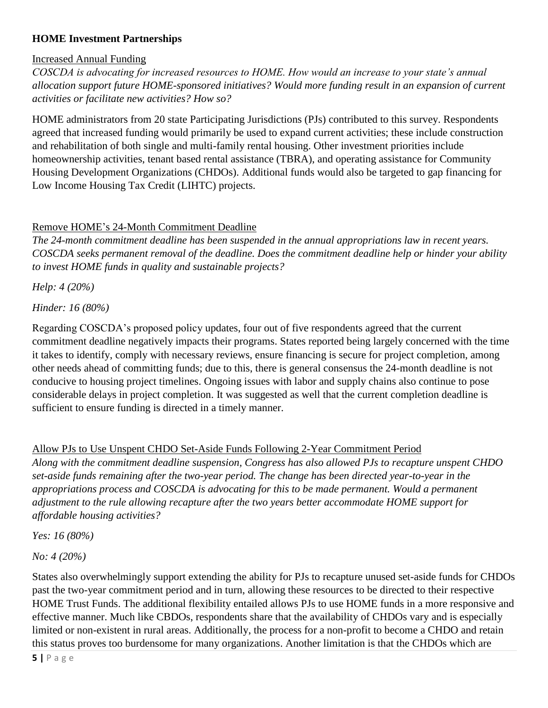# **HOME Investment Partnerships**

## Increased Annual Funding

*COSCDA is advocating for increased resources to HOME. How would an increase to your state's annual allocation support future HOME-sponsored initiatives? Would more funding result in an expansion of current activities or facilitate new activities? How so?*

HOME administrators from 20 state Participating Jurisdictions (PJs) contributed to this survey. Respondents agreed that increased funding would primarily be used to expand current activities; these include construction and rehabilitation of both single and multi-family rental housing. Other investment priorities include homeownership activities, tenant based rental assistance (TBRA), and operating assistance for Community Housing Development Organizations (CHDOs). Additional funds would also be targeted to gap financing for Low Income Housing Tax Credit (LIHTC) projects.

# Remove HOME's 24-Month Commitment Deadline

*The 24-month commitment deadline has been suspended in the annual appropriations law in recent years. COSCDA seeks permanent removal of the deadline. Does the commitment deadline help or hinder your ability to invest HOME funds in quality and sustainable projects?*

*Help: 4 (20%)*

*Hinder: 16 (80%)*

Regarding COSCDA's proposed policy updates, four out of five respondents agreed that the current commitment deadline negatively impacts their programs. States reported being largely concerned with the time it takes to identify, comply with necessary reviews, ensure financing is secure for project completion, among other needs ahead of committing funds; due to this, there is general consensus the 24-month deadline is not conducive to housing project timelines. Ongoing issues with labor and supply chains also continue to pose considerable delays in project completion. It was suggested as well that the current completion deadline is sufficient to ensure funding is directed in a timely manner.

# Allow PJs to Use Unspent CHDO Set-Aside Funds Following 2-Year Commitment Period

*Along with the commitment deadline suspension, Congress has also allowed PJs to recapture unspent CHDO set-aside funds remaining after the two-year period. The change has been directed year-to-year in the appropriations process and COSCDA is advocating for this to be made permanent. Would a permanent adjustment to the rule allowing recapture after the two years better accommodate HOME support for affordable housing activities?*

*Yes: 16 (80%)*

*No: 4 (20%)*

States also overwhelmingly support extending the ability for PJs to recapture unused set-aside funds for CHDOs past the two-year commitment period and in turn, allowing these resources to be directed to their respective HOME Trust Funds. The additional flexibility entailed allows PJs to use HOME funds in a more responsive and effective manner. Much like CBDOs, respondents share that the availability of CHDOs vary and is especially limited or non-existent in rural areas. Additionally, the process for a non-profit to become a CHDO and retain this status proves too burdensome for many organizations. Another limitation is that the CHDOs which are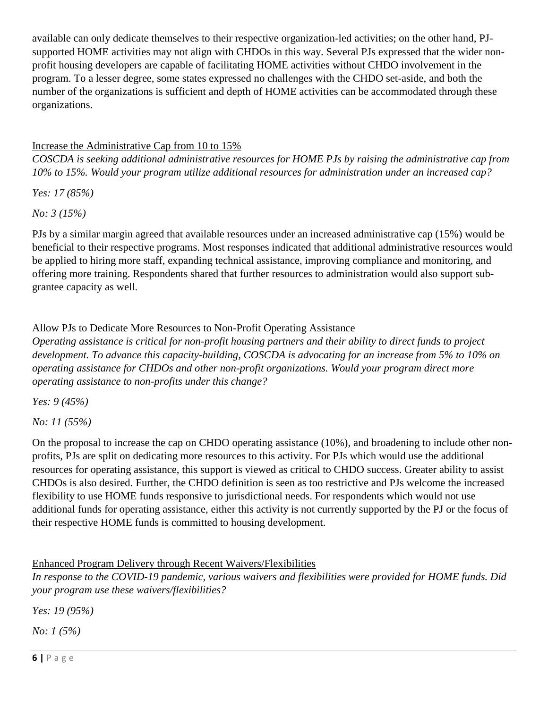available can only dedicate themselves to their respective organization-led activities; on the other hand, PJsupported HOME activities may not align with CHDOs in this way. Several PJs expressed that the wider nonprofit housing developers are capable of facilitating HOME activities without CHDO involvement in the program. To a lesser degree, some states expressed no challenges with the CHDO set-aside, and both the number of the organizations is sufficient and depth of HOME activities can be accommodated through these organizations.

# Increase the Administrative Cap from 10 to 15%

*COSCDA is seeking additional administrative resources for HOME PJs by raising the administrative cap from 10% to 15%. Would your program utilize additional resources for administration under an increased cap?* 

*Yes: 17 (85%)*

*No: 3 (15%)*

PJs by a similar margin agreed that available resources under an increased administrative cap (15%) would be beneficial to their respective programs. Most responses indicated that additional administrative resources would be applied to hiring more staff, expanding technical assistance, improving compliance and monitoring, and offering more training. Respondents shared that further resources to administration would also support subgrantee capacity as well.

# Allow PJs to Dedicate More Resources to Non-Profit Operating Assistance

*Operating assistance is critical for non-profit housing partners and their ability to direct funds to project development. To advance this capacity-building, COSCDA is advocating for an increase from 5% to 10% on operating assistance for CHDOs and other non-profit organizations. Would your program direct more operating assistance to non-profits under this change?*

*Yes: 9 (45%)*

*No: 11 (55%)*

On the proposal to increase the cap on CHDO operating assistance (10%), and broadening to include other nonprofits, PJs are split on dedicating more resources to this activity. For PJs which would use the additional resources for operating assistance, this support is viewed as critical to CHDO success. Greater ability to assist CHDOs is also desired. Further, the CHDO definition is seen as too restrictive and PJs welcome the increased flexibility to use HOME funds responsive to jurisdictional needs. For respondents which would not use additional funds for operating assistance, either this activity is not currently supported by the PJ or the focus of their respective HOME funds is committed to housing development.

Enhanced Program Delivery through Recent Waivers/Flexibilities

*In response to the COVID-19 pandemic, various waivers and flexibilities were provided for HOME funds. Did your program use these waivers/flexibilities?*

*Yes: 19 (95%)*

*No: 1 (5%)*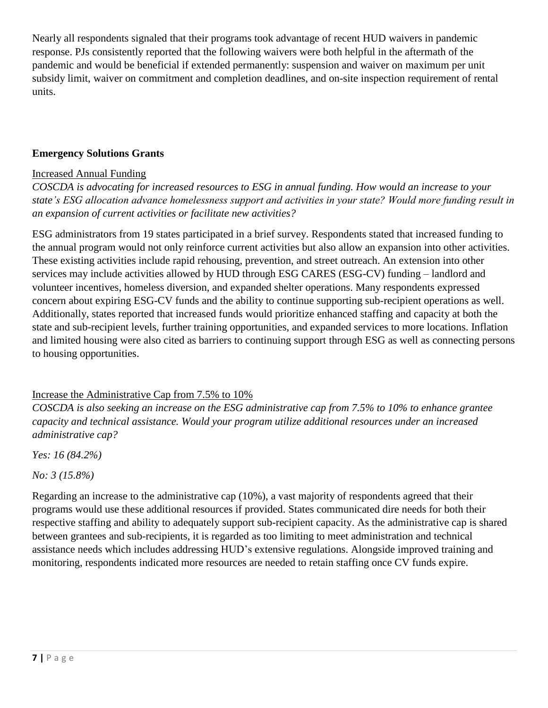Nearly all respondents signaled that their programs took advantage of recent HUD waivers in pandemic response. PJs consistently reported that the following waivers were both helpful in the aftermath of the pandemic and would be beneficial if extended permanently: suspension and waiver on maximum per unit subsidy limit, waiver on commitment and completion deadlines, and on-site inspection requirement of rental units.

### **Emergency Solutions Grants**

#### Increased Annual Funding

*COSCDA is advocating for increased resources to ESG in annual funding. How would an increase to your state's ESG allocation advance homelessness support and activities in your state? Would more funding result in an expansion of current activities or facilitate new activities?*

ESG administrators from 19 states participated in a brief survey. Respondents stated that increased funding to the annual program would not only reinforce current activities but also allow an expansion into other activities. These existing activities include rapid rehousing, prevention, and street outreach. An extension into other services may include activities allowed by HUD through ESG CARES (ESG-CV) funding – landlord and volunteer incentives, homeless diversion, and expanded shelter operations. Many respondents expressed concern about expiring ESG-CV funds and the ability to continue supporting sub-recipient operations as well. Additionally, states reported that increased funds would prioritize enhanced staffing and capacity at both the state and sub-recipient levels, further training opportunities, and expanded services to more locations. Inflation and limited housing were also cited as barriers to continuing support through ESG as well as connecting persons to housing opportunities.

### Increase the Administrative Cap from 7.5% to 10%

*COSCDA is also seeking an increase on the ESG administrative cap from 7.5% to 10% to enhance grantee capacity and technical assistance. Would your program utilize additional resources under an increased administrative cap?*

*Yes: 16 (84.2%)*

*No: 3 (15.8%)*

Regarding an increase to the administrative cap (10%), a vast majority of respondents agreed that their programs would use these additional resources if provided. States communicated dire needs for both their respective staffing and ability to adequately support sub-recipient capacity. As the administrative cap is shared between grantees and sub-recipients, it is regarded as too limiting to meet administration and technical assistance needs which includes addressing HUD's extensive regulations. Alongside improved training and monitoring, respondents indicated more resources are needed to retain staffing once CV funds expire.